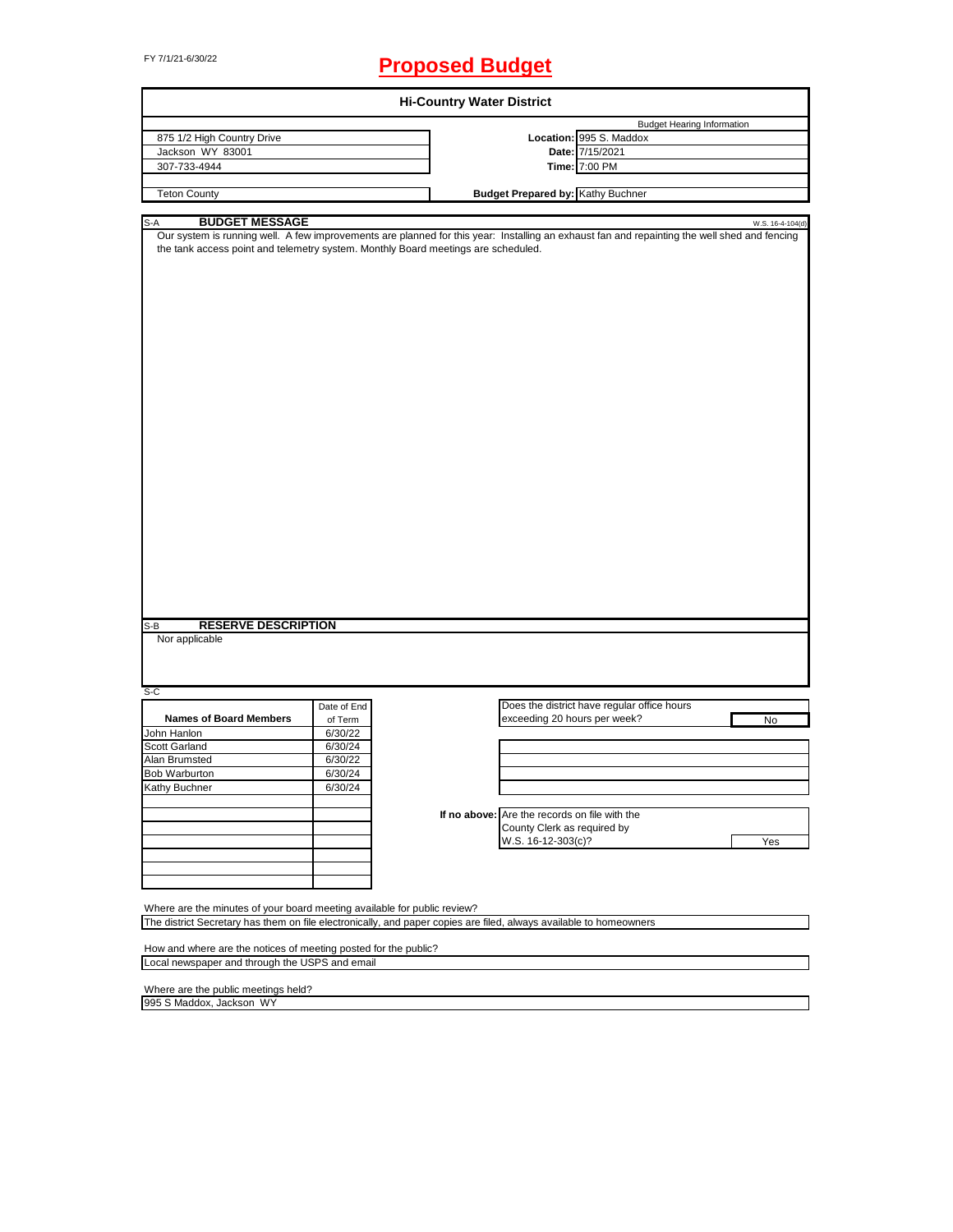# FY 7/1/21-6/30/22 **Proposed Budget**

| <b>Hi-Country Water District</b>                                                                                   |             |                                                                                                                                                                  |  |  |  |  |
|--------------------------------------------------------------------------------------------------------------------|-------------|------------------------------------------------------------------------------------------------------------------------------------------------------------------|--|--|--|--|
|                                                                                                                    |             | <b>Budget Hearing Information</b>                                                                                                                                |  |  |  |  |
| 875 1/2 High Country Drive                                                                                         |             | Location: 995 S. Maddox                                                                                                                                          |  |  |  |  |
| Jackson WY 83001                                                                                                   |             | Date: 7/15/2021                                                                                                                                                  |  |  |  |  |
| 307-733-4944                                                                                                       |             | Time: 7:00 PM                                                                                                                                                    |  |  |  |  |
|                                                                                                                    |             |                                                                                                                                                                  |  |  |  |  |
| <b>Teton County</b>                                                                                                |             | <b>Budget Prepared by: Kathy Buchner</b>                                                                                                                         |  |  |  |  |
|                                                                                                                    |             |                                                                                                                                                                  |  |  |  |  |
| <b>BUDGET MESSAGE</b><br>S-A<br>the tank access point and telemetry system. Monthly Board meetings are scheduled.  |             | W.S. 16-4-104(d)<br>Our system is running well. A few improvements are planned for this year: Installing an exhaust fan and repainting the well shed and fencing |  |  |  |  |
| <b>RESERVE DESCRIPTION</b><br>S-B<br>Nor applicable                                                                |             |                                                                                                                                                                  |  |  |  |  |
|                                                                                                                    |             |                                                                                                                                                                  |  |  |  |  |
| S-C                                                                                                                | Date of End | Does the district have regular office hours                                                                                                                      |  |  |  |  |
| <b>Names of Board Members</b>                                                                                      | of Term     | exceeding 20 hours per week?<br>No                                                                                                                               |  |  |  |  |
| John Hanlon                                                                                                        | 6/30/22     |                                                                                                                                                                  |  |  |  |  |
| Scott Garland                                                                                                      | 6/30/24     |                                                                                                                                                                  |  |  |  |  |
| Alan Brumsted                                                                                                      | 6/30/22     |                                                                                                                                                                  |  |  |  |  |
| <b>Bob Warburton</b>                                                                                               | 6/30/24     |                                                                                                                                                                  |  |  |  |  |
| <b>Kathy Buchner</b>                                                                                               | 6/30/24     |                                                                                                                                                                  |  |  |  |  |
|                                                                                                                    |             |                                                                                                                                                                  |  |  |  |  |
|                                                                                                                    |             | If no above: Are the records on file with the                                                                                                                    |  |  |  |  |
|                                                                                                                    |             | County Clerk as required by                                                                                                                                      |  |  |  |  |
|                                                                                                                    |             | Yes<br>W.S. 16-12-303(c)?                                                                                                                                        |  |  |  |  |
|                                                                                                                    |             |                                                                                                                                                                  |  |  |  |  |
|                                                                                                                    |             |                                                                                                                                                                  |  |  |  |  |
|                                                                                                                    |             |                                                                                                                                                                  |  |  |  |  |
|                                                                                                                    |             |                                                                                                                                                                  |  |  |  |  |
| Where are the minutes of your board meeting available for public review?                                           |             |                                                                                                                                                                  |  |  |  |  |
|                                                                                                                    |             |                                                                                                                                                                  |  |  |  |  |
| The district Secretary has them on file electronically, and paper copies are filed, always available to homeowners |             |                                                                                                                                                                  |  |  |  |  |
|                                                                                                                    |             |                                                                                                                                                                  |  |  |  |  |
| How and where are the notices of meeting posted for the public?<br>Local newspaper and through the USPS and email  |             |                                                                                                                                                                  |  |  |  |  |
|                                                                                                                    |             |                                                                                                                                                                  |  |  |  |  |
| Where are the public meetings held?                                                                                |             |                                                                                                                                                                  |  |  |  |  |
| 995 S Maddox, Jackson WY                                                                                           |             |                                                                                                                                                                  |  |  |  |  |
|                                                                                                                    |             |                                                                                                                                                                  |  |  |  |  |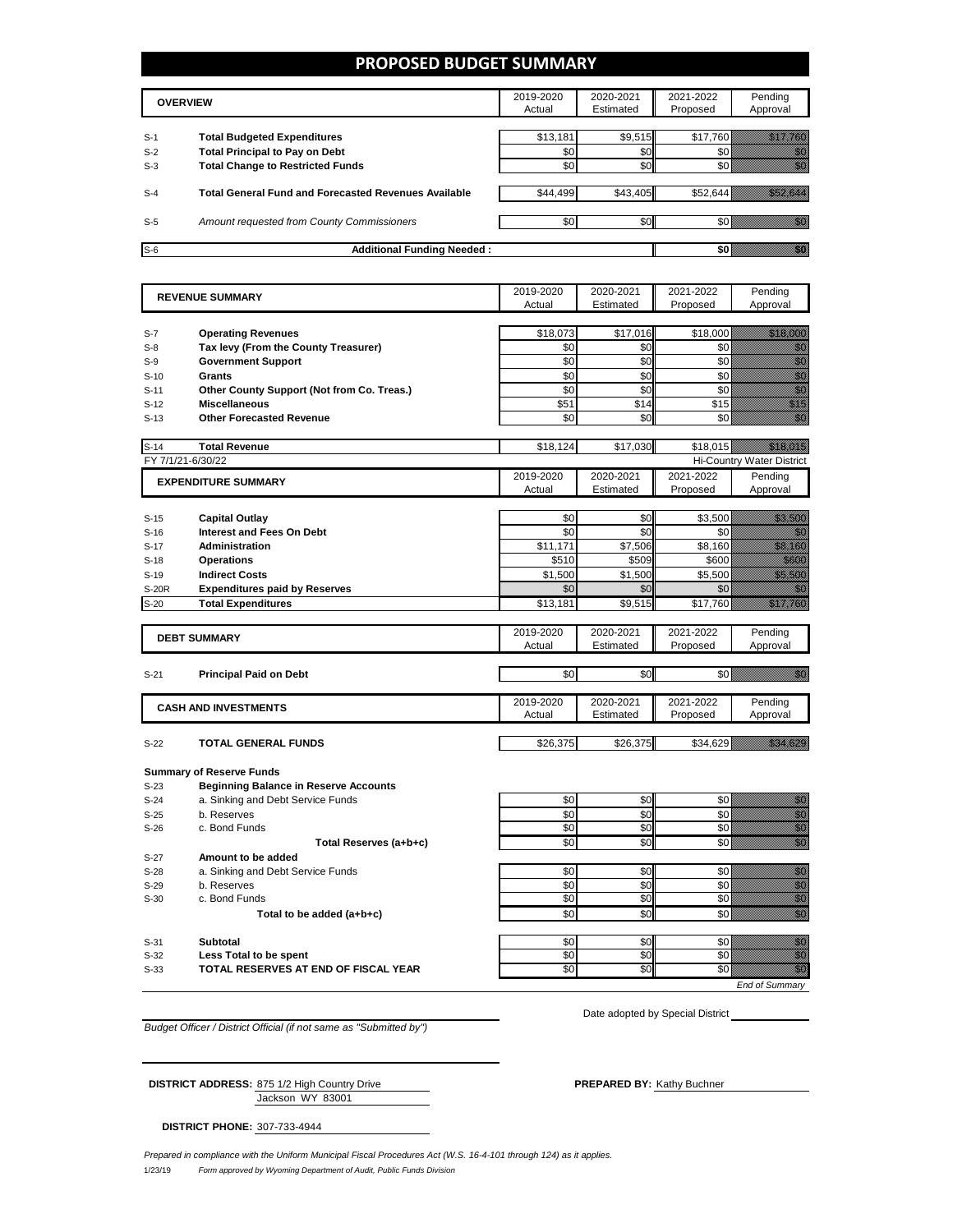## **PROPOSED BUDGET SUMMARY**

| <b>OVERVIEW</b> |                                                             | 2019-2020<br>Actual | 2020-2021<br>Estimated | 2021-2022<br>Proposed | Pendina<br>Approval |
|-----------------|-------------------------------------------------------------|---------------------|------------------------|-----------------------|---------------------|
| $S-1$           | <b>Total Budgeted Expenditures</b>                          | \$13,181            | \$9,515                | \$17.760              |                     |
| $S-2$           | <b>Total Principal to Pay on Debt</b>                       | \$0                 | \$0                    |                       |                     |
| $S-3$           | <b>Total Change to Restricted Funds</b>                     | \$0                 | \$0                    |                       |                     |
|                 |                                                             |                     |                        |                       |                     |
| $S-4$           | <b>Total General Fund and Forecasted Revenues Available</b> | \$44,499            | \$43,405               | \$52.644              |                     |
|                 |                                                             |                     |                        |                       |                     |
| $S-5$           | Amount requested from County Commissioners                  | \$0                 | \$0                    |                       |                     |
| $S-6$           | <b>Additional Funding Needed:</b>                           |                     |                        |                       |                     |

| <b>REVENUE SUMMARY</b> |                                                                | 2019-2020       | 2020-2021       | 2021-2022       | Pending                                                                                                                                                                                                                                                                                                                                                                                                                                                              |
|------------------------|----------------------------------------------------------------|-----------------|-----------------|-----------------|----------------------------------------------------------------------------------------------------------------------------------------------------------------------------------------------------------------------------------------------------------------------------------------------------------------------------------------------------------------------------------------------------------------------------------------------------------------------|
|                        |                                                                | Actual          | Estimated       | Proposed        | Approval                                                                                                                                                                                                                                                                                                                                                                                                                                                             |
|                        |                                                                |                 |                 |                 |                                                                                                                                                                                                                                                                                                                                                                                                                                                                      |
| $S-7$                  | <b>Operating Revenues</b>                                      | \$18,073        | \$17,016        | \$18,000        | <u>Maria Barat</u>                                                                                                                                                                                                                                                                                                                                                                                                                                                   |
| $S-8$                  | Tax levy (From the County Treasurer)                           | \$0             | \$0             | \$0             | en de la familie de la familie de la familie de la familie de la familie de la familie de la familie de la fam<br>Espainia                                                                                                                                                                                                                                                                                                                                           |
| $S-9$                  | <b>Government Support</b>                                      | \$0             | \$0             | \$0             | en de la familie de la familie de la familie de la familie de la familie de la familie de la familie de la fam<br>Constituit de la familie de la familie de la familie de la familie de la familie de la familie de la familie d                                                                                                                                                                                                                                     |
| $S-10$                 | <b>Grants</b>                                                  | \$0             | \$0             | \$0             | en de la familie de la familie de la familie de la familie de la familie de la familie de la familie de la fam<br>Constituit de la familie de la familie de la familie de la familie de la familie de la familie de la familie d                                                                                                                                                                                                                                     |
| $S-11$                 | Other County Support (Not from Co. Treas.)                     | \$0             | \$0             | \$0             | enne<br>Maria                                                                                                                                                                                                                                                                                                                                                                                                                                                        |
| $S-12$                 | <b>Miscellaneous</b>                                           | \$51            | \$14            | \$15            | en en de former de la former de la former de la former de la former de la former de la former de la former de<br>En la former de la former de la former de la former de la former de la former de la former de la former de la                                                                                                                                                                                                                                       |
| $S-13$                 | <b>Other Forecasted Revenue</b>                                | \$0             | \$0             | \$0             | ni ka                                                                                                                                                                                                                                                                                                                                                                                                                                                                |
| $S-14$                 | <b>Total Revenue</b>                                           | \$18.124        | \$17,030        | \$18,015        | <u> Historiano e d</u>                                                                                                                                                                                                                                                                                                                                                                                                                                               |
| FY 7/1/21-6/30/22      |                                                                |                 |                 |                 | <b>Hi-Country Water District</b>                                                                                                                                                                                                                                                                                                                                                                                                                                     |
|                        |                                                                | 2019-2020       | 2020-2021       | 2021-2022       | Pending                                                                                                                                                                                                                                                                                                                                                                                                                                                              |
|                        | <b>EXPENDITURE SUMMARY</b>                                     | Actual          | Estimated       | Proposed        | Approval                                                                                                                                                                                                                                                                                                                                                                                                                                                             |
|                        |                                                                |                 |                 |                 |                                                                                                                                                                                                                                                                                                                                                                                                                                                                      |
| $S-15$                 | <b>Capital Outlay</b>                                          | \$0             | \$0             | \$3,500         | <u>saan ku</u>                                                                                                                                                                                                                                                                                                                                                                                                                                                       |
| $S-16$                 | Interest and Fees On Debt                                      | \$0             | \$0             | \$0             |                                                                                                                                                                                                                                                                                                                                                                                                                                                                      |
| $S-17$                 | <b>Administration</b>                                          | \$11,171        | \$7,506         | \$8,160         | <u>i ka</u>                                                                                                                                                                                                                                                                                                                                                                                                                                                          |
| $S-18$                 | <b>Operations</b>                                              | \$510           | \$509           | \$600           | <u> Mille S</u>                                                                                                                                                                                                                                                                                                                                                                                                                                                      |
| $S-19$                 | <b>Indirect Costs</b>                                          | \$1,500         | \$1,500         | \$5,500         | <u>till i Sa</u>                                                                                                                                                                                                                                                                                                                                                                                                                                                     |
| <b>S-20R</b>           | <b>Expenditures paid by Reserves</b>                           | \$0             | \$0             | \$0             | 1999                                                                                                                                                                                                                                                                                                                                                                                                                                                                 |
| $S-20$                 | <b>Total Expenditures</b>                                      | \$13,181        | \$9,515         | \$17,760        | <u> Hillian Sa</u>                                                                                                                                                                                                                                                                                                                                                                                                                                                   |
|                        |                                                                |                 |                 |                 |                                                                                                                                                                                                                                                                                                                                                                                                                                                                      |
|                        | <b>DEBT SUMMARY</b>                                            | 2019-2020       | 2020-2021       | 2021-2022       | Pending                                                                                                                                                                                                                                                                                                                                                                                                                                                              |
|                        |                                                                | Actual          | Estimated       | Proposed        | Approval                                                                                                                                                                                                                                                                                                                                                                                                                                                             |
| $S-21$                 | <b>Principal Paid on Debt</b>                                  | \$0             | \$0             | \$0             | en de la familie de la familie de la familie de la familie de la familie de la familie de la familie de la fa<br>Constituit de la familie de la familie de la familie de la familie de la familie de la familie de la familie d                                                                                                                                                                                                                                      |
|                        |                                                                |                 |                 |                 |                                                                                                                                                                                                                                                                                                                                                                                                                                                                      |
|                        | <b>CASH AND INVESTMENTS</b>                                    | 2019-2020       | 2020-2021       | 2021-2022       | Pending                                                                                                                                                                                                                                                                                                                                                                                                                                                              |
|                        |                                                                | Actual          | Estimated       | Proposed        | Approval                                                                                                                                                                                                                                                                                                                                                                                                                                                             |
|                        |                                                                |                 |                 |                 |                                                                                                                                                                                                                                                                                                                                                                                                                                                                      |
| $S-22$                 | <b>TOTAL GENERAL FUNDS</b>                                     | \$26,375        | \$26,375        | \$34,629        | <u> Kabupatèn T</u>                                                                                                                                                                                                                                                                                                                                                                                                                                                  |
|                        | <b>Summary of Reserve Funds</b>                                |                 |                 |                 |                                                                                                                                                                                                                                                                                                                                                                                                                                                                      |
| $S-23$                 | <b>Beginning Balance in Reserve Accounts</b>                   |                 |                 |                 |                                                                                                                                                                                                                                                                                                                                                                                                                                                                      |
| $S-24$                 | a. Sinking and Debt Service Funds                              | \$0             | \$0             | \$0             |                                                                                                                                                                                                                                                                                                                                                                                                                                                                      |
| $S-25$                 | b. Reserves                                                    | \$0             | \$0             | \$0             | e de la familia de la familia de la familia de la familia de la familia de la familia de la familia de la fami<br>Espaina de la familia de la familia de la familia de la familia de la familia de la familia de la familia de<br>Fa                                                                                                                                                                                                                                 |
| $S-26$                 | c. Bond Funds                                                  | \$0             | \$0             | \$0             |                                                                                                                                                                                                                                                                                                                                                                                                                                                                      |
|                        | Total Reserves (a+b+c)                                         | \$0             | \$0             | \$0             | en de la filosofia<br>Maria de la filòla del conte del conte del conte del conte del conte del conte del conte del conte del conte d                                                                                                                                                                                                                                                                                                                                 |
| $S-27$                 | Amount to be added                                             |                 |                 |                 |                                                                                                                                                                                                                                                                                                                                                                                                                                                                      |
| $S-28$                 | a. Sinking and Debt Service Funds                              | \$0             | \$0             | \$0             |                                                                                                                                                                                                                                                                                                                                                                                                                                                                      |
| $S-29$                 | b. Reserves                                                    | \$0             | \$0             | \$0             |                                                                                                                                                                                                                                                                                                                                                                                                                                                                      |
|                        |                                                                | \$0             | \$0             | \$0             | e de la familia de la familia de la familia de la familia de la familia de la familia de la familia de la fami<br>Altre de la familia de la familia de la familia de la familia de la familia de la familia de la familia de la                                                                                                                                                                                                                                      |
|                        |                                                                |                 |                 |                 |                                                                                                                                                                                                                                                                                                                                                                                                                                                                      |
| $S-30$                 | c. Bond Funds                                                  |                 |                 |                 |                                                                                                                                                                                                                                                                                                                                                                                                                                                                      |
|                        | Total to be added (a+b+c)                                      | \$0             | \$0             | \$0             |                                                                                                                                                                                                                                                                                                                                                                                                                                                                      |
|                        |                                                                |                 |                 |                 |                                                                                                                                                                                                                                                                                                                                                                                                                                                                      |
| $S-31$<br>$S-32$       | <b>Subtotal</b>                                                | \$0<br>\$0      | \$0<br>\$0      | \$0<br>\$0      | en en de la familie de la familie de la familie de la familie de la familie de la familie de la familie de la<br>Constitution de la familie de la familie de la familie de la familie de la familie de la familie de la familie                                                                                                                                                                                                                                      |
| $S-33$                 | Less Total to be spent<br>TOTAL RESERVES AT END OF FISCAL YEAR | $\overline{50}$ | $\overline{50}$ | $\overline{50}$ | en de la familie de la familie de la familie de la familie de la familie de la familie de la familie de la fam<br>De la familie de la familie de la familie de la familie de la familie de la familie de la familie de la famili<br>en de la falsa de la falsa de la falsa de la falsa de la falsa de la falsa de la falsa de la falsa de la falsa<br>El de la falsa de la falsa de la falsa de la falsa de la falsa de la falsa de la falsa de la falsa de la falsa |

*Budget Officer / District Official (if not same as "Submitted by")*

Jackson WY 83001 **DISTRICT ADDRESS:** 875 1/2 High Country Drive **PREPARED BY:** Kathy Buchner

Date adopted by Special District

**DISTRICT PHONE:** 307-733-4944

1/23/19 *Form approved by Wyoming Department of Audit, Public Funds Division Prepared in compliance with the Uniform Municipal Fiscal Procedures Act (W.S. 16-4-101 through 124) as it applies.*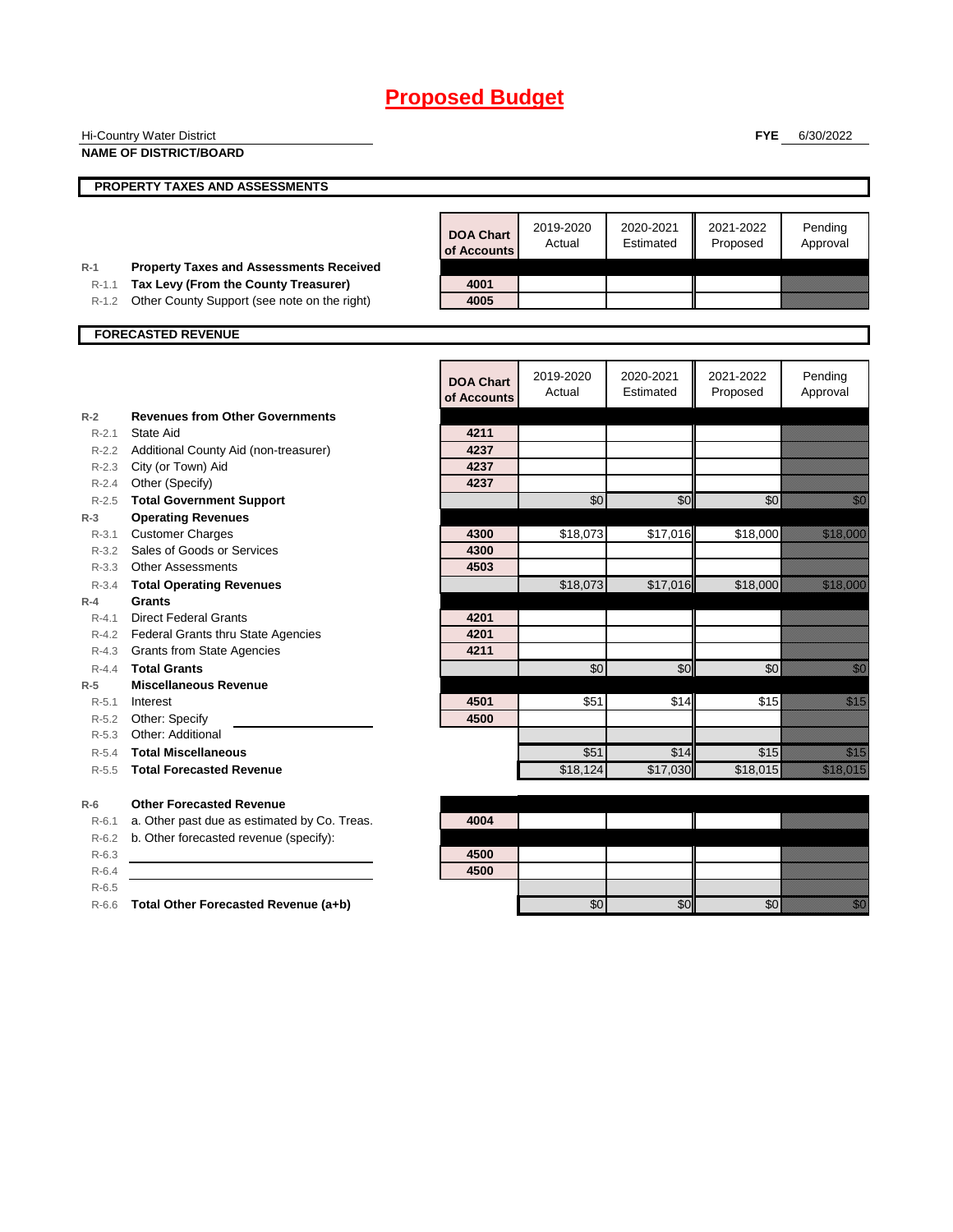|                    | <b>Hi-Country Water District</b>                                                       |                                 |                     |                        | <b>FYE</b>            | 6/30/2022                                                                                                                                                                                                                        |
|--------------------|----------------------------------------------------------------------------------------|---------------------------------|---------------------|------------------------|-----------------------|----------------------------------------------------------------------------------------------------------------------------------------------------------------------------------------------------------------------------------|
|                    | <b>NAME OF DISTRICT/BOARD</b>                                                          |                                 |                     |                        |                       |                                                                                                                                                                                                                                  |
|                    | PROPERTY TAXES AND ASSESSMENTS                                                         |                                 |                     |                        |                       |                                                                                                                                                                                                                                  |
|                    |                                                                                        |                                 |                     |                        |                       |                                                                                                                                                                                                                                  |
|                    |                                                                                        | <b>DOA Chart</b><br>of Accounts | 2019-2020<br>Actual | 2020-2021<br>Estimated | 2021-2022<br>Proposed | Pending<br>Approval                                                                                                                                                                                                              |
| $R-1$<br>$R-1.1$   | <b>Property Taxes and Assessments Received</b><br>Tax Levy (From the County Treasurer) | 4001                            |                     |                        |                       |                                                                                                                                                                                                                                  |
| $R-1.2$            | Other County Support (see note on the right)                                           | 4005                            |                     |                        |                       |                                                                                                                                                                                                                                  |
|                    |                                                                                        |                                 |                     |                        |                       |                                                                                                                                                                                                                                  |
|                    | <b>FORECASTED REVENUE</b>                                                              |                                 |                     |                        |                       |                                                                                                                                                                                                                                  |
|                    |                                                                                        | <b>DOA Chart</b><br>of Accounts | 2019-2020<br>Actual | 2020-2021<br>Estimated | 2021-2022<br>Proposed | Pending<br>Approval                                                                                                                                                                                                              |
| $R-2$              | <b>Revenues from Other Governments</b>                                                 |                                 |                     |                        |                       |                                                                                                                                                                                                                                  |
| $R-2.1$            | State Aid                                                                              | 4211                            |                     |                        |                       |                                                                                                                                                                                                                                  |
|                    | R-2.2 Additional County Aid (non-treasurer)                                            | 4237                            |                     |                        |                       |                                                                                                                                                                                                                                  |
|                    | R-2.3 City (or Town) Aid                                                               | 4237                            |                     |                        |                       |                                                                                                                                                                                                                                  |
|                    | R-2.4 Other (Specify)                                                                  | 4237                            |                     |                        |                       |                                                                                                                                                                                                                                  |
| $R - 2.5$          | <b>Total Government Support</b>                                                        |                                 | \$0                 | \$0                    | \$0                   | e di provincia di concello di concello di concello di concello di concello di concello di concello di concello<br>Di concello di concello di concello di concello di concello di concello di concello di concello di concello di |
| $R-3$<br>$R - 3.1$ | <b>Operating Revenues</b><br><b>Customer Charges</b>                                   | 4300                            |                     | \$17,016               |                       | <u> Kalendari Seria dan peng</u>                                                                                                                                                                                                 |
|                    | R-3.2 Sales of Goods or Services                                                       | 4300                            | \$18,073            |                        | \$18,000              |                                                                                                                                                                                                                                  |
|                    | R-3.3 Other Assessments                                                                | 4503                            |                     |                        |                       |                                                                                                                                                                                                                                  |
| $R - 3.4$          | <b>Total Operating Revenues</b>                                                        |                                 | \$18,073            | \$17,016               | \$18,000              | <u> Kalendari Se</u>                                                                                                                                                                                                             |
| $R-4$              | <b>Grants</b>                                                                          |                                 |                     |                        |                       |                                                                                                                                                                                                                                  |
| $R - 4.1$          | <b>Direct Federal Grants</b>                                                           | 4201                            |                     |                        |                       |                                                                                                                                                                                                                                  |
|                    | R-4.2 Federal Grants thru State Agencies                                               | 4201                            |                     |                        |                       |                                                                                                                                                                                                                                  |
|                    | R-4.3 Grants from State Agencies                                                       | 4211                            |                     |                        |                       |                                                                                                                                                                                                                                  |
| $R - 4.4$          | <b>Total Grants</b>                                                                    |                                 | \$0                 | \$0                    | \$0                   | e de la filosofia<br>Altre de la filosofia                                                                                                                                                                                       |
| $R-5$              | <b>Miscellaneous Revenue</b>                                                           |                                 |                     |                        |                       |                                                                                                                                                                                                                                  |
| $R - 5.1$          | Interest                                                                               | 4501<br>4500                    | \$51                | \$14                   | \$15                  | en de la forma de la forma de la forma de la forma de la forma de la forma de la forma de la forma de la forma<br>En la forma de la forma de la forma de la forma de la forma de la forma de la forma de la forma de la forma de |
| $R-5.2$<br>$R-5.3$ | Other: Specify<br>Other: Additional                                                    |                                 |                     |                        |                       |                                                                                                                                                                                                                                  |
| $R - 5.4$          | <b>Total Miscellaneous</b>                                                             |                                 | \$51                | \$14                   | \$15                  | en de la familie de la familie de la familie de la familie de la familie de la familie de la familie de la fa<br>Espainia                                                                                                        |
| $R - 5.5$          | <b>Total Forecasted Revenue</b>                                                        |                                 | \$18,124            | \$17,030               | \$18,015              | <u>ti ka ka ka ka kasa</u>                                                                                                                                                                                                       |
| $R-6$              | <b>Other Forecasted Revenue</b>                                                        |                                 |                     |                        |                       |                                                                                                                                                                                                                                  |
| $R - 6.1$          | a. Other past due as estimated by Co. Treas.                                           | 4004                            |                     |                        |                       |                                                                                                                                                                                                                                  |
| $R-6.2$            | b. Other forecasted revenue (specify):                                                 |                                 |                     |                        |                       |                                                                                                                                                                                                                                  |
| $R-6.3$            |                                                                                        | 4500                            |                     |                        |                       |                                                                                                                                                                                                                                  |
| $R-6.4$            |                                                                                        | 4500                            |                     |                        |                       |                                                                                                                                                                                                                                  |
| $R-6.5$            | R-6.6 Total Other Forecasted Revenue (a+b)                                             |                                 | \$0                 | \$0                    | \$0                   | en de la familie de la familie de la familie de la familie de la familie de la familie de la familie de la fam<br>De la familie de la familie de la familie de la familie de la familie de la familie de la familie de la famili |
|                    |                                                                                        |                                 |                     |                        |                       |                                                                                                                                                                                                                                  |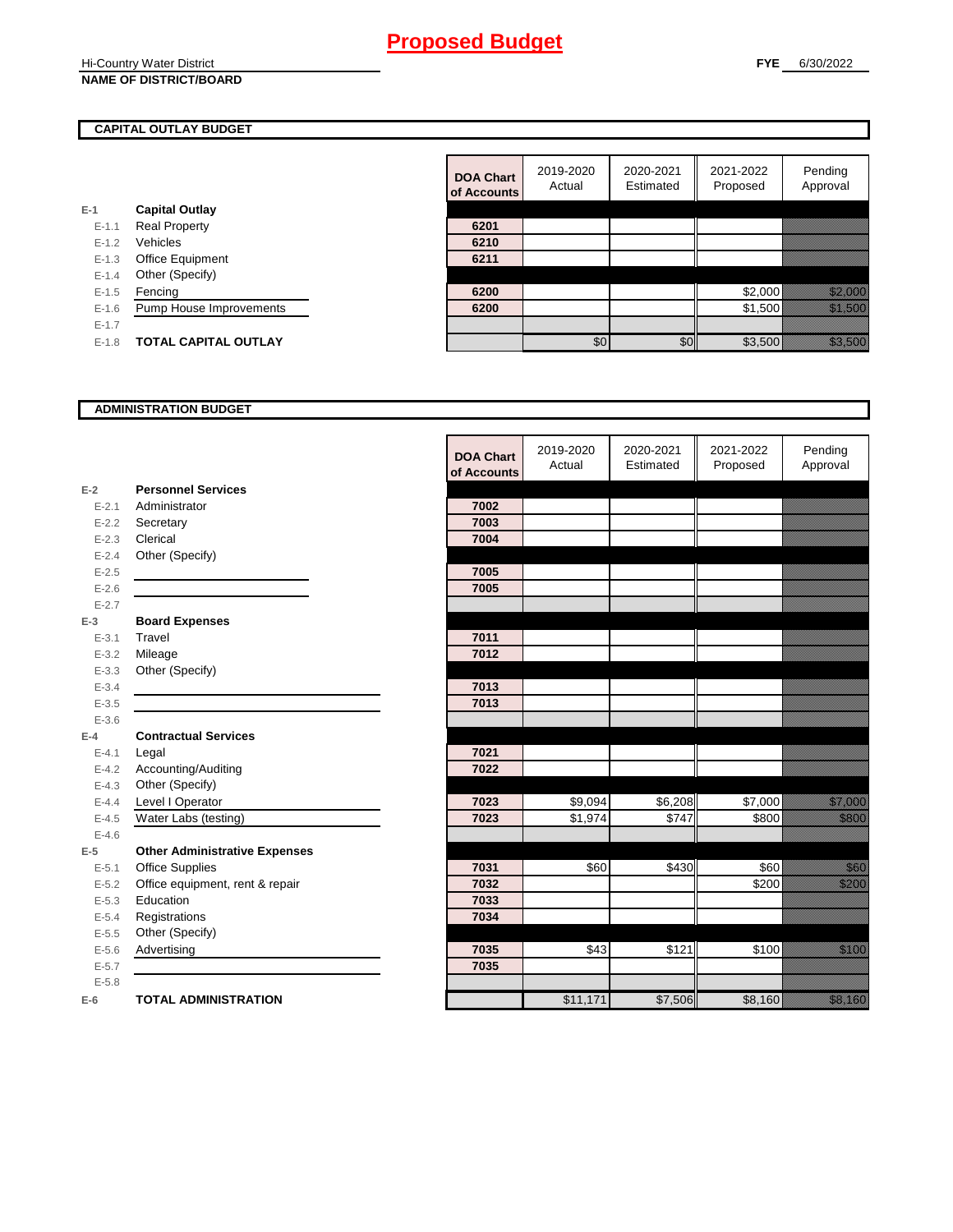**Hi-Country Water District NAME OF DISTRICT/BOARD**

## **CAPITAL OUTLAY BUDGET**

| $E-1$     | <b>Capital Outlay</b>          |      |
|-----------|--------------------------------|------|
| $E - 1.1$ | <b>Real Property</b>           | 6201 |
| $E - 1.2$ | Vehicles                       | 6210 |
| $E-1.3$   | <b>Office Equipment</b>        | 6211 |
| $E - 1.4$ | Other (Specify)                |      |
| $E - 1.5$ | Fencing                        | 6200 |
| $E-1.6$   | <b>Pump House Improvements</b> | 6200 |
| $E - 1.7$ |                                |      |
| $E - 1.8$ | <b>TOTAL CAPITAL OUTLAY</b>    |      |
|           |                                |      |

|           |                             | <b>DOA Chart</b><br>of Accounts | 2019-2020<br>Actual | 2020-2021<br>Estimated | 2021-2022<br>Proposed | Pending<br>Approval                                                                                                                                                                                                              |
|-----------|-----------------------------|---------------------------------|---------------------|------------------------|-----------------------|----------------------------------------------------------------------------------------------------------------------------------------------------------------------------------------------------------------------------------|
|           | <b>Capital Outlay</b>       |                                 |                     |                        |                       |                                                                                                                                                                                                                                  |
| $E-1.1$   | <b>Real Property</b>        | 6201                            |                     |                        |                       |                                                                                                                                                                                                                                  |
| $E - 1.2$ | Vehicles                    | 6210                            |                     |                        |                       |                                                                                                                                                                                                                                  |
| $E - 1.3$ | Office Equipment            | 6211                            |                     |                        |                       |                                                                                                                                                                                                                                  |
| $E - 1.4$ | Other (Specify)             |                                 |                     |                        |                       |                                                                                                                                                                                                                                  |
| $E-1.5$   | Fencing                     | 6200                            |                     |                        | \$2,000               |                                                                                                                                                                                                                                  |
| $E - 1.6$ | Pump House Improvements     | 6200                            |                     |                        | \$1,500               | a katika kutoka kutoka kutoka kutoka kutoka kutoka kutoka kutoka kutoka kutoka kutoka kutoka kutoka kutoka kut<br>Katika kutoka kutoka kutoka kutoka kutoka kutoka kutoka kutoka kutoka kutoka kutoka kutoka kutoka kutoka kutok |
| $E-1.7$   |                             |                                 |                     |                        |                       |                                                                                                                                                                                                                                  |
| $E-1.8$   | <b>TOTAL CAPITAL OUTLAY</b> |                                 | \$0                 | \$0                    | \$3,500               | a katalunggal sa katalunggal sa katalunggal sa katalunggal sa katalunggal sa katalunggal sa katalunggal sa kat<br>Katalunggal sa katalunggal sa katalunggal sa katalunggal sa katalunggal sa katalunggal sa katalunggal sa katal |

### **ADMINISTRATION BUDGET**

|           |                                      | <b>DOA Chart</b><br>of Accounts | 2019-2020<br>Actual | 2020-2021<br>Estimated | 2021-2022<br>Proposed | Pending<br>Approval                                                                                                                                                                                                             |
|-----------|--------------------------------------|---------------------------------|---------------------|------------------------|-----------------------|---------------------------------------------------------------------------------------------------------------------------------------------------------------------------------------------------------------------------------|
| $E-2$     | <b>Personnel Services</b>            |                                 |                     |                        |                       |                                                                                                                                                                                                                                 |
| $E - 2.1$ | Administrator                        | 7002                            |                     |                        |                       |                                                                                                                                                                                                                                 |
| $E - 2.2$ | Secretary                            | 7003                            |                     |                        |                       |                                                                                                                                                                                                                                 |
| $E - 2.3$ | Clerical                             | 7004                            |                     |                        |                       |                                                                                                                                                                                                                                 |
| $E - 2.4$ | Other (Specify)                      |                                 |                     |                        |                       |                                                                                                                                                                                                                                 |
| $E-2.5$   |                                      | 7005                            |                     |                        |                       |                                                                                                                                                                                                                                 |
| $E - 2.6$ |                                      | 7005                            |                     |                        |                       |                                                                                                                                                                                                                                 |
| $E - 2.7$ |                                      |                                 |                     |                        |                       |                                                                                                                                                                                                                                 |
| $E-3$     | <b>Board Expenses</b>                |                                 |                     |                        |                       |                                                                                                                                                                                                                                 |
| $E - 3.1$ | Travel                               | 7011                            |                     |                        |                       |                                                                                                                                                                                                                                 |
| $E - 3.2$ | Mileage                              | 7012                            |                     |                        |                       |                                                                                                                                                                                                                                 |
| $E - 3.3$ | Other (Specify)                      |                                 |                     |                        |                       |                                                                                                                                                                                                                                 |
| $E - 3.4$ |                                      | 7013                            |                     |                        |                       |                                                                                                                                                                                                                                 |
| $E - 3.5$ |                                      | 7013                            |                     |                        |                       |                                                                                                                                                                                                                                 |
| $E - 3.6$ |                                      |                                 |                     |                        |                       |                                                                                                                                                                                                                                 |
| $E-4$     | <b>Contractual Services</b>          |                                 |                     |                        |                       |                                                                                                                                                                                                                                 |
| $E - 4.1$ | Legal                                | 7021                            |                     |                        |                       |                                                                                                                                                                                                                                 |
| $E-4.2$   | Accounting/Auditing                  | 7022                            |                     |                        |                       |                                                                                                                                                                                                                                 |
| $E - 4.3$ | Other (Specify)                      |                                 |                     |                        |                       |                                                                                                                                                                                                                                 |
| $E - 4.4$ | Level I Operator                     | 7023                            | \$9,094             | \$6,208                | \$7,000               | an dheegaalaha dheegaalaha dheegaalaha iyo dheegaalaha dheegaalaha iyo dheegaalaha dheegaalaha iyo dheegaalah<br>Markoodiyaha iyo dheegaalaha iyo dheegaalaha iyo dheegaalaha iyo dheegaalaha iyo dheegaalaha iyo dheegaalaha i |
| $E-4.5$   | Water Labs (testing)                 | 7023                            | \$1,974             | \$747                  | \$800                 | <u>tik k</u>                                                                                                                                                                                                                    |
| $E-4.6$   |                                      |                                 |                     |                        |                       |                                                                                                                                                                                                                                 |
| $E-5$     | <b>Other Administrative Expenses</b> |                                 |                     |                        |                       |                                                                                                                                                                                                                                 |
| $E - 5.1$ | <b>Office Supplies</b>               | 7031                            | \$60                | \$430                  | \$60                  | <u>tionalist</u>                                                                                                                                                                                                                |
| $E - 5.2$ | Office equipment, rent & repair      | 7032                            |                     |                        | \$200                 | <u>till fram</u>                                                                                                                                                                                                                |
| $E - 5.3$ | Education                            | 7033                            |                     |                        |                       |                                                                                                                                                                                                                                 |
| $E - 5.4$ | Registrations                        | 7034                            |                     |                        |                       |                                                                                                                                                                                                                                 |
| $E - 5.5$ | Other (Specify)                      |                                 |                     |                        |                       |                                                                                                                                                                                                                                 |
| $E-5.6$   | Advertising                          | 7035                            | \$43                | \$121                  | \$100                 | <u>ti ka</u>                                                                                                                                                                                                                    |
| $E - 5.7$ |                                      | 7035                            |                     |                        |                       |                                                                                                                                                                                                                                 |
| $E - 5.8$ |                                      |                                 |                     |                        |                       |                                                                                                                                                                                                                                 |
| $E-6$     | <b>TOTAL ADMINISTRATION</b>          |                                 | \$11,171            | \$7,506                | \$8,160               | <u>tik alaman da</u>                                                                                                                                                                                                            |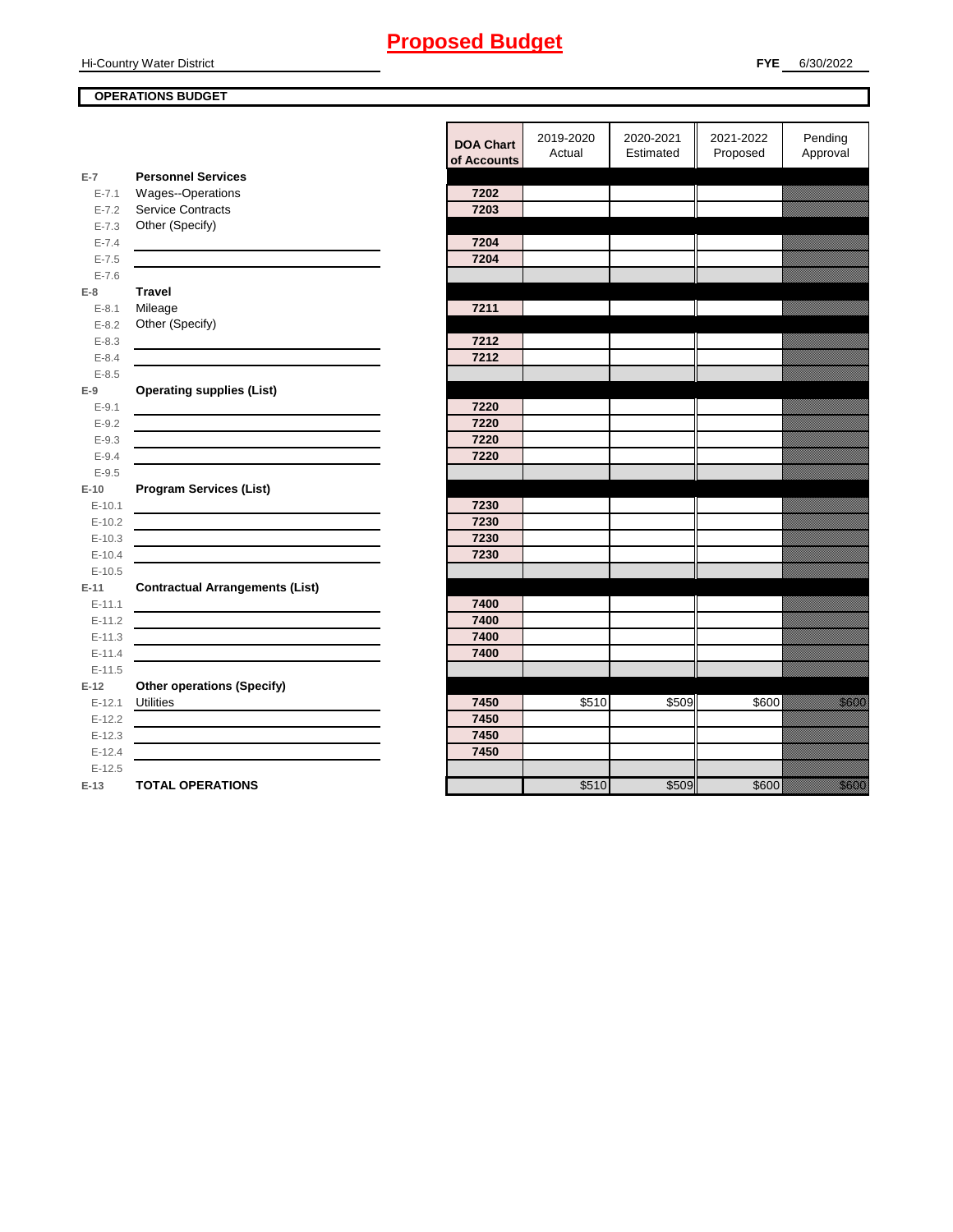**Hi-Country Water District** 

## **OPERATIONS BUDGET**

|                      |                                                                                                                        | <b>DOA Chart</b><br>of Accounts | 2019-2020<br>Actual | 2020-2021<br>Estimated | 2021-2022<br>Proposed | Pending<br>Approval |
|----------------------|------------------------------------------------------------------------------------------------------------------------|---------------------------------|---------------------|------------------------|-----------------------|---------------------|
| $E-7$                | <b>Personnel Services</b>                                                                                              |                                 |                     |                        |                       |                     |
| $E - 7.1$            | Wages--Operations                                                                                                      | 7202                            |                     |                        |                       |                     |
| $E - 7.2$            | <b>Service Contracts</b>                                                                                               | 7203                            |                     |                        |                       |                     |
| $E - 7.3$            | Other (Specify)                                                                                                        |                                 |                     |                        |                       |                     |
| $E - 7.4$            |                                                                                                                        | 7204                            |                     |                        |                       |                     |
| $E - 7.5$            |                                                                                                                        | 7204                            |                     |                        |                       |                     |
| $E - 7.6$            |                                                                                                                        |                                 |                     |                        |                       |                     |
| $E-8$                | <b>Travel</b>                                                                                                          |                                 |                     |                        |                       |                     |
| $E - 8.1$            | Mileage                                                                                                                | 7211                            |                     |                        |                       |                     |
| $E - 8.2$            | Other (Specify)                                                                                                        |                                 |                     |                        |                       |                     |
| $E - 8.3$            |                                                                                                                        | 7212                            |                     |                        |                       |                     |
| $E - 8.4$            |                                                                                                                        | 7212                            |                     |                        |                       |                     |
| $E - 8.5$            |                                                                                                                        |                                 |                     |                        |                       |                     |
| $E-9$                | <b>Operating supplies (List)</b>                                                                                       |                                 |                     |                        |                       |                     |
| $E-9.1$              |                                                                                                                        | 7220                            |                     |                        |                       |                     |
| $E - 9.2$            |                                                                                                                        | 7220                            |                     |                        |                       |                     |
| $E - 9.3$            |                                                                                                                        | 7220                            |                     |                        |                       |                     |
| $E - 9.4$            |                                                                                                                        | 7220                            |                     |                        |                       |                     |
| $E - 9.5$            |                                                                                                                        |                                 |                     |                        |                       |                     |
| $E-10$               | <b>Program Services (List)</b>                                                                                         |                                 |                     |                        |                       |                     |
| $E-10.1$             | <u> 1989 - Johann Barn, mars et al. (b. 1989)</u>                                                                      | 7230                            |                     |                        |                       |                     |
| $E-10.2$             |                                                                                                                        | 7230                            |                     |                        |                       |                     |
| $E-10.3$             |                                                                                                                        | 7230                            |                     |                        |                       |                     |
| $E-10.4$             |                                                                                                                        | 7230                            |                     |                        |                       |                     |
| $E-10.5$             |                                                                                                                        |                                 |                     |                        |                       |                     |
| $E-11$               | <b>Contractual Arrangements (List)</b>                                                                                 |                                 |                     |                        |                       |                     |
| $E-11.1$             |                                                                                                                        | 7400                            |                     |                        |                       |                     |
| $E-11.2$             |                                                                                                                        | 7400                            |                     |                        |                       |                     |
| $E-11.3$             | <u> 1989 - Johann Stein, marwolaethau a bhann an t-Albann an t-Albann an t-Albann an t-Albann an t-Albann an t-Alb</u> | 7400                            |                     |                        |                       |                     |
| $E-11.4$             |                                                                                                                        | 7400                            |                     |                        |                       |                     |
| $E-11.5$             |                                                                                                                        |                                 |                     |                        |                       |                     |
| $E-12$               | <b>Other operations (Specify)</b>                                                                                      |                                 |                     |                        |                       |                     |
| $E-12.1$             | <b>Utilities</b>                                                                                                       | 7450                            | \$510               | \$509                  | \$600                 | <u>in dhe</u>       |
| $E-12.2$             |                                                                                                                        | 7450<br>7450                    |                     |                        |                       |                     |
| $E-12.3$             | the control of the control of the control of the control of the control of the control of                              | 7450                            |                     |                        |                       |                     |
| $E-12.4$<br>$E-12.5$ |                                                                                                                        |                                 |                     |                        |                       |                     |
| $E-13$               | <b>TOTAL OPERATIONS</b>                                                                                                |                                 | \$510               | \$509                  | \$600                 | <u>i k</u>          |
|                      |                                                                                                                        |                                 |                     |                        |                       |                     |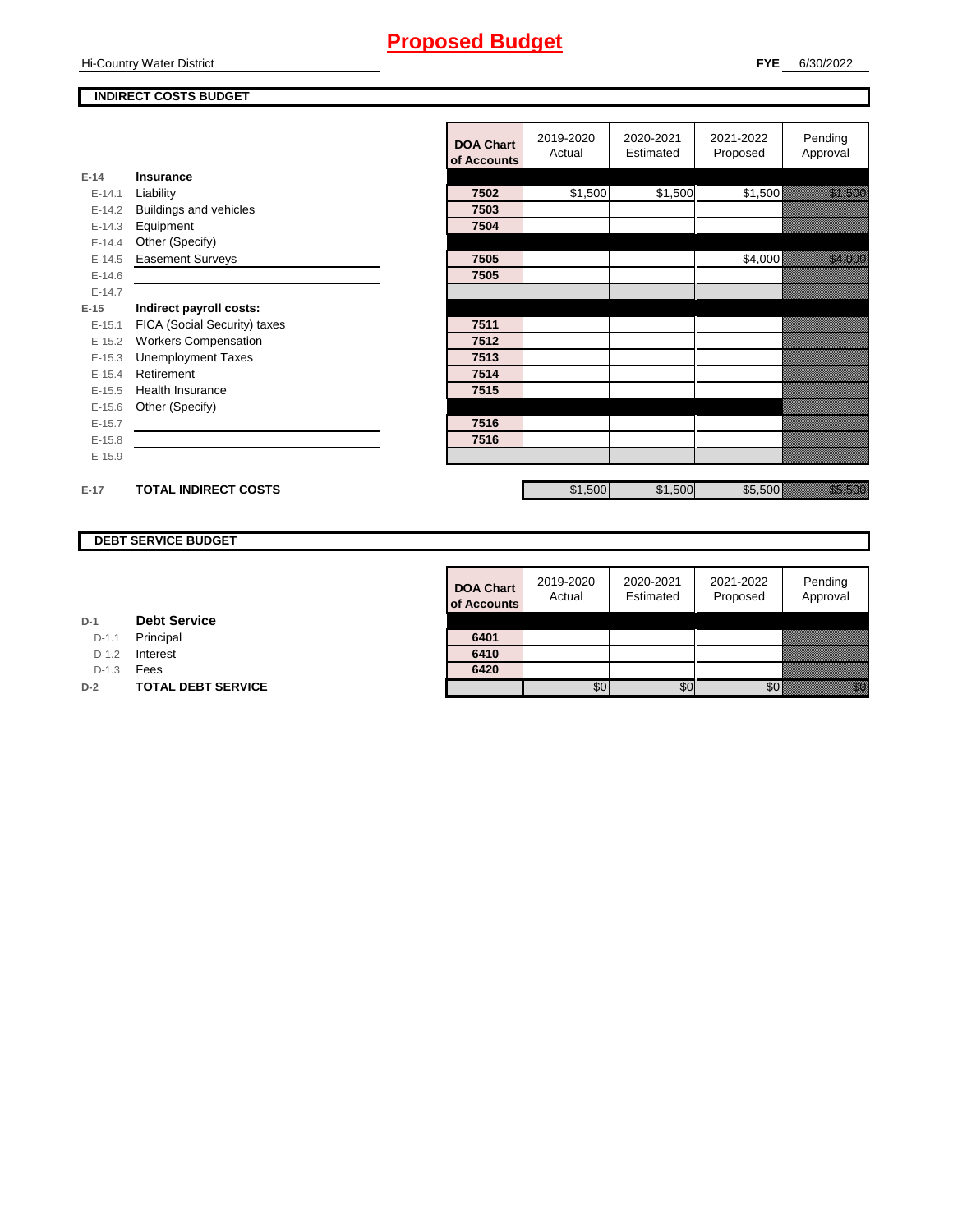**Hi-Country Water District** 

**E-14 Insurance**

**E-15 Indirect payroll costs:**

### **INDIRECT COSTS BUDGET**

|          |                              |                  | 2019-2020 | 2020-2021 | 2021-2022 | Pending                                                                                                              |
|----------|------------------------------|------------------|-----------|-----------|-----------|----------------------------------------------------------------------------------------------------------------------|
|          |                              | <b>DOA Chart</b> | Actual    | Estimated | Proposed  | Approval                                                                                                             |
|          |                              | of Accounts      |           |           |           |                                                                                                                      |
| $E-14$   | <b>Insurance</b>             |                  |           |           |           |                                                                                                                      |
| $E-14.1$ | Liability                    | 7502             | \$1,500   | \$1,500   | \$1,500   | <u>i serializi e di serializi di serializi di serializi di serializi di serializi di serializi di serializi di s</u> |
| $E-14.2$ | Buildings and vehicles       | 7503             |           |           |           |                                                                                                                      |
| $E-14.3$ | Equipment                    | 7504             |           |           |           |                                                                                                                      |
| $E-14.4$ | Other (Specify)              |                  |           |           |           |                                                                                                                      |
| $E-14.5$ | <b>Easement Surveys</b>      | 7505             |           |           | \$4,000   | <u> Karl Sara</u>                                                                                                    |
| $E-14.6$ |                              | 7505             |           |           |           |                                                                                                                      |
| $E-14.7$ |                              |                  |           |           |           |                                                                                                                      |
| $E-15$   | Indirect payroll costs:      |                  |           |           |           |                                                                                                                      |
| $E-15.1$ | FICA (Social Security) taxes | 7511             |           |           |           |                                                                                                                      |
| $E-15.2$ | <b>Workers Compensation</b>  | 7512             |           |           |           |                                                                                                                      |
| $E-15.3$ | <b>Unemployment Taxes</b>    | 7513             |           |           |           |                                                                                                                      |
| $E-15.4$ | Retirement                   | 7514             |           |           |           |                                                                                                                      |
| $E-15.5$ | <b>Health Insurance</b>      | 7515             |           |           |           |                                                                                                                      |
| $E-15.6$ | Other (Specify)              |                  |           |           |           |                                                                                                                      |
| $E-15.7$ |                              | 7516             |           |           |           |                                                                                                                      |
| $E-15.8$ |                              | 7516             |           |           |           |                                                                                                                      |
| $E-15.9$ |                              |                  |           |           |           |                                                                                                                      |
|          |                              |                  |           |           |           |                                                                                                                      |
| $E-17$   | <b>TOTAL INDIRECT COSTS</b>  |                  | \$1,500   | \$1,500   | \$5,500   | a a a an t-òrdan an t-òrdan an t-òrdan an t-òrdan an t-òrdan an Dùbhaidh.<br>Tagairte                                |
|          |                              |                  |           |           |           |                                                                                                                      |

## **DEBT SERVICE BUDGET**

| <b>DOA Chart</b><br>of Accounts | 2019-2020<br>Actual | 2020-2021<br>Estimated | 2021-2022<br>Proposed | Pending<br>Approval |
|---------------------------------|---------------------|------------------------|-----------------------|---------------------|
|                                 |                     |                        |                       |                     |
| 6401                            |                     |                        |                       |                     |
| 6410                            |                     |                        |                       |                     |
| 6420                            |                     |                        |                       |                     |
|                                 |                     |                        |                       |                     |

**D-1 Debt Service**

D-1.1 Principal

D-1.2 **Interest** 

D-1.3 **Fees** 

**D-2 TOTAL DEBT SERVICE**